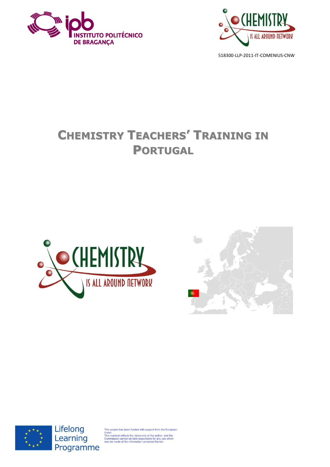



# **CHEMISTRY TEACHERS' TRAINING IN PORTUGAL**







Lifelong Learning Programme

oject has been funded with support from the European

onion.<br>This material reflects the views only of the author, and the<br>Commission cannot be held responsible for any use which<br>may be made of the information contained therein.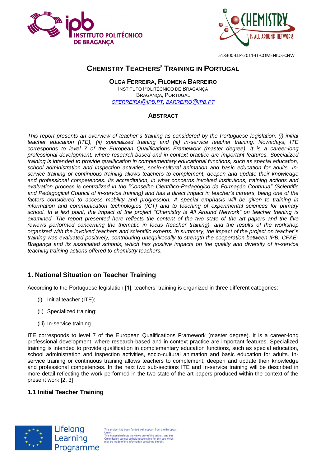



# **CHEMISTRY TEACHERS' TRAINING IN PORTUGAL**

#### **OLGA FERREIRA, FILOMENA BARREIRO** INSTITUTO POLITÉCNICO DE BRAGANÇA BRAGANÇA, PORTUGAL *[OFERREIRA](mailto:oferreira@ipb.pt)@IPB.PT, [BARREIRO](mailto:barreiro@ipb.pt)@IPB.PT*

#### **ABSTRACT**

*This report presents an overview of teacher´s training as considered by the Portuguese legislation: (i) initial teacher education (ITE), (ii) specialized training and (iii) in-service teacher training. Nowadays, ITE corresponds to level 7 of the European Qualifications Framework (master degree). It is a career-long professional development, where research-based and in context practice are important features. Specialized training is intended to provide qualification in complementary educational functions, such as special education, school administration and inspection activities, socio-cultural animation and basic education for adults. Inservice training or continuous training allows teachers to complement, deepen and update their knowledge and professional competences. Its accreditation, in what concerns involved institutions, training actions and evaluation process is centralized in the "Conselho Científico-Pedagógico da Formação Contínua" (Scientific and Pedagogical Council of in-service training) and has a direct impact in teacher's careers, being one of the factors considered to access mobility and progression. A special emphasis will be given to training in information and communication technologies (ICT) and to teaching of experimental sciences for primary school. In a last point, the impact of the project "Chemistry is All Around Network" on teacher training is examined. The report presented here reflects the content of the two state of the art papers and the five reviews performed concerning the thematic in focus (teacher training), and the results of the workshop organized with the involved teachers and scientific experts. In summary, the impact of the project on teacher´s training was evaluated positively, contributing unequivocally to strength the cooperation between IPB, CFAE-Bragança and its associated schools, which has positive impacts on the quality and diversity of in-service teaching training actions offered to chemistry teachers.*

## **1. National Situation on Teacher Training**

According to the Portuguese legislation [1], teachers' training is organized in three different categories:

- (i) Initial teacher (ITE);
- (ii) Specialized training;
- (iii) In-service training.

ITE corresponds to level 7 of the European Qualifications Framework (master degree). It is a career-long professional development, where research-based and in context practice are important features. Specialized training is intended to provide qualification in complementary education functions, such as special education, school administration and inspection activities, socio-cultural animation and basic education for adults. Inservice training or continuous training allows teachers to complement, deepen and update their knowledge and professional competences. In the next two sub-sections ITE and In-service training will be described in more detail reflecting the work performed in the two state of the art papers produced within the context of the present work [2, 3]

## **1.1 Initial Teacher Training**



This project has been funded with support from the Europear onion.<br>This material reflects the views only of the author, and the<br>Commission cannot be held responsible for any use which<br>may be made of the information contained therein.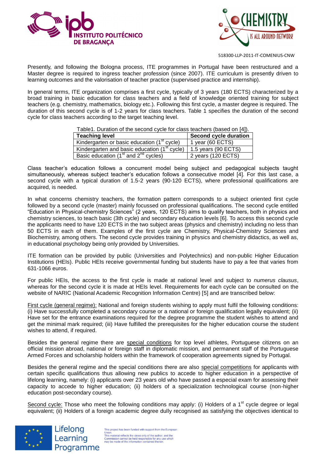



Presently, and following the Bologna process, ITE programmes in Portugal have been restructured and a Master degree is required to ingress teacher profession (since 2007). ITE curriculum is presently driven to learning outcomes and the valorisation of teacher practice (supervised practice and internship).

In general terms, ITE organization comprises a first cycle, typically of 3 years (180 ECTS) characterized by a broad training in basic education for class teachers and a field of knowledge oriented training for subject teachers (e.g. chemistry, mathematics, biology etc.). Following this first cycle, a master degree is required. The duration of this second cycle is of 1-2 years for class teachers. Table 1 specifies the duration of the second cycle for class teachers according to the target teaching level.

| Table1. Duration of the second cycle for class teachers (based on [4]). |  |  |  |
|-------------------------------------------------------------------------|--|--|--|
|                                                                         |  |  |  |
|                                                                         |  |  |  |

| <b>Teaching level</b>                                    | Second cycle duration |
|----------------------------------------------------------|-----------------------|
| Kindergarten or basic education (1 <sup>st</sup> cycle)  | 1 year (60 ECTS)      |
| Kindergarten and basic education (1 <sup>st</sup> cycle) | 1.5 years (90 ECTS)   |
| Basic education $(1st$ and $2nd$ cycles)                 | 2 years (120 ECTS)    |

Class teacher's education follows a concurrent model being subject and pedagogical subjects taught simultaneously, whereas subject teacher's education follows a consecutive model [4]. For this last case, a second cycle with a typical duration of 1.5-2 years (90-120 ECTS), where professional qualifications are acquired, is needed.

In what concerns chemistry teachers, the formation pattern corresponds to a subject oriented first cycle followed by a second cycle (master) mainly focussed on professional qualifications. The second cycle entitled "Education in Physical-chemistry Sciences" (2 years, 120 ECTS) aims to qualify teachers, both in physics and chemistry sciences, to teach basic (3th cycle) and secondary education levels [6]. To access this second cycle the applicants need to have 120 ECTS in the two subject areas (physics and chemistry) including no less than 50 ECTS in each of them. Examples of the first cycle are Chemistry, Physical-Chemistry Sciences and Biochemistry, among others. The second cycle provides training in physics and chemistry didactics, as well as, in educational psychology being only provided by Universities.

ITE formation can be provided by public (Universities and Polytechnics) and non-public Higher Education Institutions (HEIs). Public HEIs receive governmental funding but students have to pay a fee that varies from 631-1066 euros.

For public HEIs, the access to the first cycle is made at national level and subject to *numerus clausus*, whereas for the second cycle it is made at HEIs level. Requirements for each cycle can be consulted on the website of NARIC (National Academic Recognition Information Centre) [5] and are transcribed below:

First cycle (general regime): National and foreign students wishing to apply must fulfil the following conditions: (i) Have successfully completed a secondary course or a national or foreign qualification legally equivalent; (ii) Have set for the entrance examinations required for the degree programme the student wishes to attend and get the minimal mark required; (iii) Have fulfilled the prerequisites for the higher education course the student wishes to attend, if required.

Besides the general regime there are special conditions for top level athletes, Portuguese citizens on an official mission abroad, national or foreign staff in diplomatic mission, and permanent staff of the Portuguese Armed Forces and scholarship holders within the framework of cooperation agreements signed by Portugal.

Besides the general regime and the special conditions there are also special competitions for applicants with certain specific qualifications thus allowing new publics to accede to higher education in a perspective of lifelong learning, namely: (i) applicants over 23 years old who have passed a especial exam for assessing their capacity to accede to higher education; (ii) holders of a specialization technological course (non-higher education post-secondary course).

Second cycle: Those who meet the following conditions may apply: (i) Holders of a  $1<sup>st</sup>$  cycle degree or legal equivalent; (ii) Holders of a foreign academic degree dully recognised as satisfying the objectives identical to



Lifelong Learning Programme

This project has been funded with support from the Europear Union.<br>This material reflects the views only of the author, and the<br>Commission cannot be held responsible for any use which<br>may be made of the information contained therein.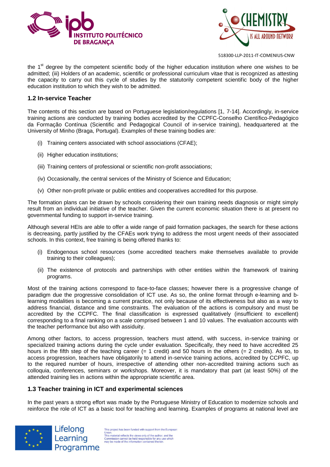



the 1<sup>st</sup> degree by the competent scientific body of the higher education institution where one wishes to be admitted; (iii) Holders of an academic, scientific or professional curriculum vitae that is recognized as attesting the capacity to carry out this cycle of studies by the statutorily competent scientific body of the higher education institution to which they wish to be admitted.

#### **1.2 In-service Teacher**

The contents of this section are based on Portuguese legislation/regulations [1, 7-14]. Accordingly, in-service training actions are conducted by training bodies accredited by the CCPFC-Conselho Científico-Pedagógico da Formação Contínua (Scientific and Pedagogical Council of in-service training), headquartered at the University of Minho (Braga, Portugal). Examples of these training bodies are:

- (i) Training centers associated with school associations (CFAE);
- (ii) Higher education institutions;
- (iii) Training centers of professional or scientific non-profit associations;
- (iv) Occasionally, the central services of the Ministry of Science and Education;
- (v) Other non-profit private or public entities and cooperatives accredited for this purpose.

The formation plans can be drawn by schools considering their own training needs diagnosis or might simply result from an individual initiative of the teacher. Given the current economic situation there is at present no governmental funding to support in-service training.

Although several HEIs are able to offer a wide range of paid formation packages, the search for these actions is decreasing, partly justified by the CFAEs work trying to address the most urgent needs of their associated schools. In this context, free training is being offered thanks to:

- (i) Endogenous school resources (some accredited teachers make themselves available to provide training to their colleagues);
- (ii) The existence of protocols and partnerships with other entities within the framework of training programs.

Most of the training actions correspond to face-to-face classes; however there is a progressive change of paradigm due the progressive consolidation of ICT use. As so, the online format through e-learning and blearning modalities is becoming a current practice, not only because of its effectiveness but also as a way to address financial, distance and time constraints. The evaluation of the actions is compulsory and must be accredited by the CCPFC. The final classification is expressed qualitatively (insufficient to excellent) corresponding to a final ranking on a scale comprised between 1 and 10 values. The evaluation accounts with the teacher performance but also with assiduity.

Among other factors, to access progression, teachers must attend, with success, in-service training or specialized training actions during the cycle under evaluation. Specifically, they need to have accredited 25 hours in the fifth step of the teaching career (= 1 credit) and 50 hours in the others (= 2 credits). As so, to access progression, teachers have obligatorily to attend in-service training actions, accredited by CCPFC, up to the required number of hours, irrespective of attending other non-accredited training actions such as colloquia, conferences, seminars or workshops. Moreover, it is mandatory that part (at least 50%) of the attended training lies in actions within the appropriate scientific area.

#### **1.3 Teacher training in ICT and experimental sciences**

In the past years a strong effort was made by the Portuguese Ministry of Education to modernize schools and reinforce the role of ICT as a basic tool for teaching and learning. Examples of programs at national level are



This project has been funded with support from the Europear This project nas deen inneed with support nominale competent<br>This material reflects the views only of the author, and the<br>Commission cannot be held responsible for any use which<br>may be made of the information contained the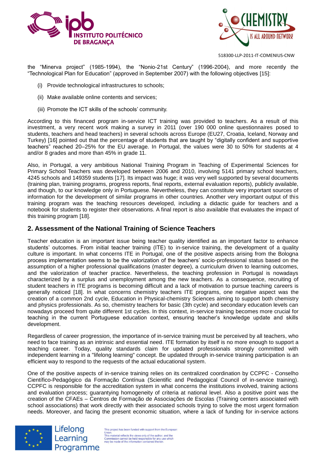



the "Minerva project" (1985-1994), the "Nonio-21st Century" (1996-2004), and more recently the "Technological Plan for Education" (approved in September 2007) with the following objectives [15]:

- (i) Provide technological infrastructures to schools;
- (ii) Make available online contents and services;
- (iii) Promote the ICT skills of the schools' community.

According to this financed program in-service ICT training was provided to teachers. As a result of this investment, a very recent work making a survey in 2011 (over 190 000 online questionnaires posed to students, teachers and head teachers) in several schools across Europe (EU27, Croatia, Iceland, Norway and Turkey) [16] pointed out that the percentage of students that are taught by "digitally confident and supportive teachers" reached 20–25% for the EU average. In Portugal, the values were 30 to 50% for students at 4 and/or 8 grades and more than 45% in grade 11.

Also, in Portugal, a very ambitious National Training Program in Teaching of Experimental Sciences for Primary School Teachers was developed between 2006 and 2010, involving 5141 primary school teachers, 4245 schools and 149359 students [17]. Its impact was huge; it was very well supported by several documents (training plan, training programs, progress reports, final reports, external evaluation reports), publicly available, and though, to our knowledge only in Portuguese. Nevertheless, they can constitute very important sources of information for the development of similar programs in other countries. Another very important output of this training program was the teaching resources developed, including a didactic guide for teachers and a notebook for students to register their observations. A final report is also available that evaluates the impact of this training program [18].

## **2. Assessment of the National Training of Science Teachers**

Teacher education is an important issue being teacher quality identified as an important factor to enhance students' outcomes. From initial teacher training (ITE) to in-service training, the development of a quality culture is important. In what concerns ITE in Portugal, one of the positive aspects arising from the Bologna process implementation seems to be the valorization of the teachers' socio-professional status based on the assumption of a higher professional qualifications (master degree), a curriculum driven to learning outcomes, and the valorization of teacher practice. Nevertheless, the teaching profession in Portugal is nowadays characterized by a surplus and unemployment among the new teachers. As a consequence, recruiting of student teachers in ITE programs is becoming difficult and a lack of motivation to pursue teaching careers is generally noticed [18]. In what concerns chemistry teachers ITE programs, one negative aspect was the creation of a common 2nd cycle, Education in Physical-chemistry Sciences aiming to support both chemistry and physics professionals. As so, chemistry teachers for basic (3th cycle) and secondary education levels can nowadays proceed from quite different 1st cycles. In this context, in-service training becomes more crucial for teaching in the current Portuguese education context, ensuring teacher's knowledge update and skills development.

Regardless of career progression, the importance of in-service training must be perceived by all teachers, who need to face training as an intrinsic and essential need. ITE formation by itself is no more enough to support a teaching career. Today, quality standards claim for updated professionals strongly committed with independent learning in a "lifelong learning" concept. Be updated through in-service training participation is an efficient way to respond to the requests of the actual educational system.

One of the positive aspects of in-service training relies on its centralized coordination by CCPFC - Conselho Científico-Pedagógico da Formação Contínua (Scientific and Pedagogical Council of in-service training). CCPFC is responsible for the accreditation system in what concerns the institutions involved, training actions and evaluation process; guarantying homogeneity of criteria at national level. Also a positive point was the creation of the CFAEs – Centros de Formação de Associações de Escolas (Training centers associated with school associations) that work directly with their associated schools trying to solve the most urgent formation needs. Moreover, and facing the present economic situation, where a lack of funding for in-service actions



Lifelong Learning Programme

This project has been funded with support from the Europear This project has been tunded with support from the Europe<br>This material reflects the views only of the author, and the<br>Commission cannot be held responsible for any use which<br>may be made of the information contained therei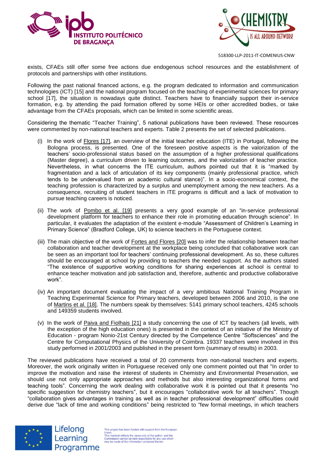



exists, CFAEs still offer some free actions due endogenous school resources and the establishment of protocols and partnerships with other institutions.

Following the past national financed actions, e.g. the program dedicated to information and communication technologies (ICT) [15] and the national program focused on the teaching of experimental sciences for primary school [17], the situation is nowadays quite distinct. Teachers have to financially support their in-service formation, e.g. by attending the paid formation offered by some HEIs or other accredited bodies, or take advantage from the CFAEs proposals, which can be limited in some scientific areas.

Considering the thematic "Teacher Training", 5 national publications have been reviewed. These resources were commented by non-national teachers and experts. Table 2 presents the set of selected publications.

- (i) In the work of Flores [17], an overview of the initial teacher education (ITE) in Portugal, following the Bologna process, is presented. One of the foreseen positive aspects is the valorization of the teachers' socio-professional status based on the assumption of a higher professional qualifications (Master degree), a curriculum driven to learning outcomes, and the valorization of teacher practice. Nevertheless, in what concerns the ITE curriculum, authors pointed out that it is "marked by fragmentation and a lack of articulation of its key components (mainly professional practice, which tends to be undervalued from an academic cultural stance)". In a socio-economical context, the teaching profession is characterized by a surplus and unemployment among the new teachers. As a consequence, recruiting of student teachers in ITE programs is difficult and a lack of motivation to pursue teaching careers is noticed.
- (ii) The work of Pombo et al. [19] presents a very good example of an "in-service professional development platform for teachers to enhance their role in promoting education through science". In particular, it evaluates the adaptation of the existent e-module "Assessment of Children's Learning in Primary Science" (Bradford College, UK) to science teachers in the Portuguese context.
- (iii) The main objective of the work of Fortes and Flores [20] was to infer the relationship between teacher collaboration and teacher development at the workplace being concluded that collaborative work can be seen as an important tool for teachers' continuing professional development. As so, these cultures should be encouraged at school by providing to teachers the needed support. As the authors stated "The existence of supportive working conditions for sharing experiences at school is central to enhance teacher motivation and job satisfaction and, therefore, authentic and productive collaborative work".
- (iv) An important document evaluating the impact of a very ambitious National Training Program in Teaching Experimental Science for Primary teachers, developed between 2006 and 2010, is the one of Martins et al. [18]. The numbers speak by themselves: 5141 primary school teachers, 4245 schools and 149359 students involved.
- (v) In the work of Paiva and Fiolhais [21] a study concerning the use of ICT by teachers (all levels, with the exception of the high education ones) is presented in the context of an initiative of the Ministry of Education - program Nonio-21st Century directed by the Competence Centre "Softsciences" and the Centre for Computational Physics of the University of Coimbra. 19337 teachers were involved in this study performed in 2001/2003 and published in the present form (summary of results) in 2003.

The reviewed publications have received a total of 20 comments from non-national teachers and experts. Moreover, the work originally written in Portuguese received only one comment pointed out that "In order to improve the motivation and raise the interest of students in Chemistry and Environmental Preservation, we should use not only appropriate approaches and methods but also interesting organizational forms and teaching tools". Concerning the work dealing with collaborative work it is pointed out that it presents "no specific suggestion for chemistry teachers", but it encourages "collaborative work for all teachers". Though "collaboration gives advantages in training as well as in teacher professional development" difficulties could derive due "lack of time and working conditions" being restricted to "few formal meetings, in which teachers



Lifelong Learning Programme

This project has been funded with support from the Europe Union.<br>This material reflects the views only of the author, and the<br>Commission cannot be held responsible for any use which<br>may be made of the information contained therein.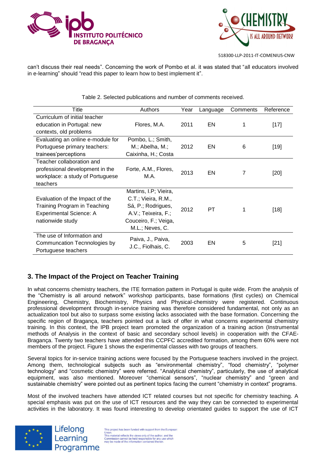



can't discuss their real needs". Concerning the work of Pombo et al. it was stated that "all educators involved in e-learning" should "read this paper to learn how to best implement it".

| Title                             | Authors               | Year | Language | Comments | Reference |
|-----------------------------------|-----------------------|------|----------|----------|-----------|
| Curriculum of initial teacher     |                       |      |          |          |           |
| education in Portugal: new        | Flores, M.A.          | 2011 | EN       |          | $[17]$    |
| contexts, old problems            |                       |      |          |          |           |
| Evaluating an online e-module for | Pombo, L.; Smith,     |      |          |          |           |
| Portuguese primary teachers:      | M.; Abelha, M.;       | 2012 | EN       | 6        | $[19]$    |
| trainees' perceptions             | Caixinha, H.; Costa   |      |          |          |           |
| Teacher collaboration and         |                       |      |          |          |           |
| professional development in the   | Forte, A.M., Flores,  | 2013 | EN       |          | $[20]$    |
| workplace: a study of Portuguese  | M.A.                  |      |          |          |           |
| teachers                          |                       |      |          |          |           |
|                                   | Martins, I.P; Vieira, |      |          |          |           |
| Evaluation of the Impact of the   | C.T.; Vieira, R.M.,   |      |          |          |           |
| Training Program in Teaching      | Sá, P.; Rodrigues,    |      | PT       |          | $[18]$    |
| <b>Experimental Science: A</b>    | A.V.; Teixeira, F.;   | 2012 |          |          |           |
| nationwide study                  | Couceiro, F.; Veiga,  |      |          |          |           |
|                                   | M.L.; Neves, C.       |      |          |          |           |
| The use of Information and        |                       |      |          |          |           |
| Communcation Tecnnologies by      | Paiva, J., Paiva,     | 2003 | EN       | 5        | $[21]$    |
| Portuguese teachers               | J.C., Fiolhais, C.    |      |          |          |           |

Table 2. Selected publications and number of comments received.

# **3. The Impact of the Project on Teacher Training**

In what concerns chemistry teachers, the ITE formation pattern in Portugal is quite wide. From the analysis of the "Chemistry is all around network" workshop participants, base formations (first cycles) on Chemical Engineering, Chemistry, Biochemistry, Physics and Physical-chemistry were registered. Continuous professional development through in-service training was therefore considered fundamental, not only as an actualization tool but also to surpass some existing lacks associated with the base formation. Concerning the specific region of Bragança, teachers pointed out a lack of offer in what concerns experimental chemistry training. In this context, the IPB project team promoted the organization of a training action (Instrumental methods of Analysis in the context of basic and secondary school levels) in cooperation with the CFAE-Bragança. Twenty two teachers have attended this CCPFC accredited formation, among them 60% were not members of the project. Figure 1 shows the experimental classes with two groups of teachers.

Several topics for in-service training actions were focused by the Portuguese teachers involved in the project. Among them, technological subjects such as "environmental chemistry", "food chemistry", "polymer technology" and "cosmetic chemistry" were referred. "Analytical chemistry", particularly, the use of analytical equipment, was also mentioned. Moreover "chemical sensors", "nuclear chemistry" and "green and sustainable chemistry" were pointed out as pertinent topics facing the current "chemistry in context" programs.

Most of the involved teachers have attended ICT related courses but not specific for chemistry teaching. A special emphasis was put on the use of ICT resources and the way they can be connected to experimental activities in the laboratory. It was found interesting to develop orientated guides to support the use of ICT



Lifelong Learning Programme

This project has been funded with support from the Europear Union.<br>This material reflects the views only of the author, and the<br>Commission cannot be held responsible for any use which<br>may be made of the information contained therein.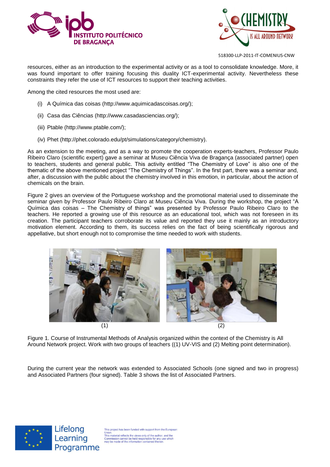



resources, either as an introduction to the experimental activity or as a tool to consolidate knowledge. More, it was found important to offer training focusing this duality ICT-experimental activity. Nevertheless these constraints they refer the use of ICT resources to support their teaching activities.

Among the cited resources the most used are:

- (i) A Química das coisas [\(http://www.aquimicadascoisas.org/\)](http://www.aquimicadascoisas.org/);
- (ii) Casa das Ciências [\(http://www.casadasciencias.org/\)](http://www.casadasciencias.org/);
- (iii) Ptable [\(http://www.ptable.com/\)](http://www.ptable.com/);
- (iv) Phet [\(http://phet.colorado.edu/pt/simulations/category/chemistry\)](http://phet.colorado.edu/pt/simulations/category/chemistry).

As an extension to the meeting, and as a way to promote the cooperation experts-teachers, Professor Paulo Ribeiro Claro (scientific expert) gave a seminar at Museu Ciência Viva de Bragança (associated partner) open to teachers, students and general public. This activity entitled "The Chemistry of Love" is also one of the thematic of the above mentioned project "The Chemistry of Things". In the first part, there was a seminar and, after, a discussion with the public about the chemistry involved in this emotion, in particular, about the action of chemicals on the brain.

Figure 2 gives an overview of the Portuguese workshop and the promotional material used to disseminate the seminar given by Professor Paulo Ribeiro Claro at Museu Ciência Viva. During the workshop, the project "A Química das coisas – The Chemistry of things" was presented by Professor Paulo Ribeiro Claro to the teachers. He reported a growing use of this resource as an educational tool, which was not foreseen in its creation. The participant teachers corroborate its value and reported they use it mainly as an introductory motivation element. According to them, its success relies on the fact of being scientifically rigorous and appellative, but short enough not to compromise the time needed to work with students.



Figure 1. Course of Instrumental Methods of Analysis organized within the context of the Chemistry is All Around Network project. Work with two groups of teachers ((1) UV-VIS and (2) Melting point determination).

During the current year the network was extended to Associated Schools (one signed and two in progress) and Associated Partners (four signed). Table 3 shows the list of Associated Partners.



Lifelong Learning Programme

is project has been funded with support from the Europear Union.<br>This material reflects the views only of the author, and the<br>Commission cannot be held responsible for any use which<br>may be made of the information contained therein.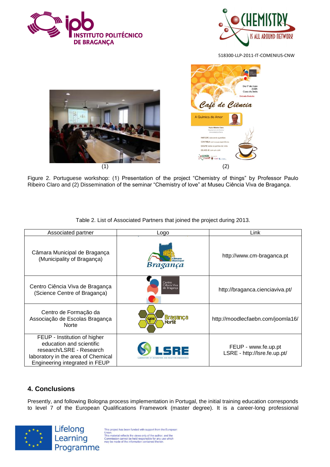





Figure 2. Portuguese workshop: (1) Presentation of the project "Chemistry of things" by Professor Paulo Ribeiro Claro and (2) Dissemination of the seminar "Chemistry of love" at Museu Ciência Viva de Bragança.

| Associated partner                                                                                                                                           | Logo                                                                               | Link                                                |
|--------------------------------------------------------------------------------------------------------------------------------------------------------------|------------------------------------------------------------------------------------|-----------------------------------------------------|
| Câmara Municipal de Bragança<br>(Municipality of Bragança)                                                                                                   | Bragança                                                                           | http://www.cm-braganca.pt                           |
| Centro Ciência Viva de Bragança<br>(Science Centre of Bragança)                                                                                              | Centro<br>Ciência Viva<br>de Bragança                                              | http://braganca.cienciaviva.pt/                     |
| Centro de Formação da<br>Associação de Escolas Bragança<br><b>Norte</b>                                                                                      | <u>Bragança</u><br>ccae                                                            | http://moodlecfaebn.com/joomla16/                   |
| FEUP - Institution of higher<br>education and scientific<br>research/LSRE - Research<br>laboratory in the area of Chemical<br>Engineering integrated in FEUP | $\mathbf{E}$ $\mathbf{E}$<br><b>LABORATORY OF SEPARATION AND REACTION ENGINEER</b> | FEUP - www.fe.up.pt<br>LSRE - http://lsre.fe.up.pt/ |

Table 2. List of Associated Partners that joined the project during 2013.

# **4. Conclusions**

Presently, and following Bologna process implementation in Portugal, the initial training education corresponds to level 7 of the European Qualifications Framework (master degree). It is a career-long professional



This project has been funded with support from the European This project nas been funded with support from the Europe<br>This material reflects the views only of the author, and the<br>Commission cannot be held responsible for any use which<br>may be made of the information contained therei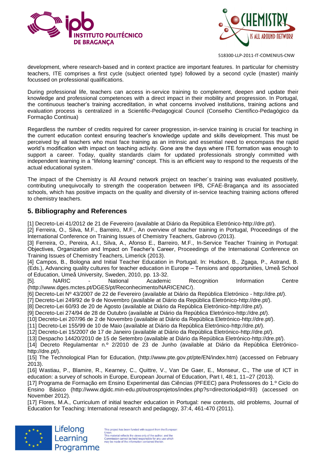



development, where research-based and in context practice are important features. In particular for chemistry teachers, ITE comprises a first cycle (subject oriented type) followed by a second cycle (master) mainly focussed on professional qualifications.

During professional life, teachers can access in-service training to complement, deepen and update their knowledge and professional competences with a direct impact in their mobility and progression. In Portugal, the continuous teacher's training accreditation, in what concerns involved institutions, training actions and evaluation process is centralized in a Scientific-Pedagogical Council (Conselho Científico-Pedagógico da Formação Contínua)

Regardless the number of credits required for career progression, in-service training is crucial for teaching in the current education context ensuring teacher's knowledge update and skills development. This must be perceived by all teachers who must face training as an intrinsic and essential need to encompass the rapid world's modification with impact on teaching activity. Gone are the days where ITE formation was enough to support a career. Today, quality standards claim for updated professionals strongly committed with independent learning in a "lifelong learning" concept. This is an efficient way to respond to the requests of the actual educational system.

The impact of the Chemistry is All Around network project on teacher´s training was evaluated positively, contributing unequivocally to strength the cooperation between IPB, CFAE-Bragança and its associated schools, which has positive impacts on the quality and diversity of in-service teaching training actions offered to chemistry teachers.

## **5. Bibliography and References**

[1] Decreto-Lei 41/2012 de 21 de Fevereiro (available at Diário da República Eletrónico-http://dre.pt/).

[2] Ferreira, O., Silva, M.F., Barreiro, M.F., An overview of teacher training in Portugal, Proceedings of the International Conference on Training Issues of Chemistry Teachers, Gabrovo (2013).

[3] Ferreira, O., Pereira, A.I., Silva, A., Afonso E., Barreiro, M.F., In-Service Teacher Training in Portugal: Objectives, Organization and Impact on Teacher's Career, Proceedings of the International Conference on Training Issues of Chemistry Teachers, Limerick (2013).

[4] Campos, B., Bologna and Initial Teacher Education in Portugal. In: Hudson, B., Zgaga, P., Astrand, B. (Eds.), Advancing quality cultures for teacher education in Europe – Tensions and opportunities, Umeå School of Education, Umeå University, Sweden, 2010, pp. 13-32.

NARIC - National Academic Recognition Information Centre (http://www.dges.mctes.pt/DGES/pt/Reconhecimento/NARICENIC/).

[6] Decreto-Lei Nº 43/2007 de 22 de Fevereiro (available at Diário da República Eletrónico - [http://dre.pt/\)](http://dre.pt/).

[7] Decreto-Lei 249/92 de 9 de Novembro (available at Diário da República Eletrónico-http://dre.pt/).

[8] Decreto-Lei 60/93 de 20 de Agosto (available at Diário da República Eletrónico-http://dre.pt/).

[9] Decreto-Lei 274/94 de 28 de Outubro (available at Diário da República Eletrónico-http://dre.pt/).

[10] Decreto-Lei 207/96 de 2 de Novembro (available at Diário da República Eletrónico-http://dre.pt/).

[11] Decreto-Lei 155/99 de 10 de Maio (available at Diário da República Eletrónico-http://dre.pt/).

[12] Decreto-Lei 15/2007 de 17 de Janeiro (available at Diário da República Eletrónico-http://dre.pt/).

[13] Despacho 14420/2010 de 15 de Setembro (available at Diário da República Eletrónico-http://dre.pt/).

[14] Decreto Regulamentar n.º 2/2010 de 23 de Junho (available at Diário da República Eletrónicohttp://dre.pt/).

[15] The Technological Plan for Education, (http://www.pte.gov.pt/pte/EN/index.htm) (accessed on February 2013).

[16] Wastiau, P., Blamire, R., Kearney, C., Quittre, V., Van De Gaer, E., Monseur, C., The use of ICT in education: a survey of schools in Europe, European Journal of Education, Part I, 48:1, 11–27 (2013).

[17] Programa de Formação em Ensino Experimental das Ciências (PFEEC) para Professores do 1.º Ciclo do Ensino Básico (http://www.dgidc.min-edu.pt/outrosprojetos/index.php?s=directorio&pid=93) (accessed on November 2012).

[17] Flores, M.A., Curriculum of initial teacher education in Portugal: new contexts, old problems, Journal of Education for Teaching: International research and pedagogy, 37:4, 461-470 (2011).



Lifelong Learning Programme

This project has been funded with support from the Europe Union.<br>This material reflects the views only of the author, and the<br>Commission cannot be held responsible for any use which<br>may be made of the information contained therein.